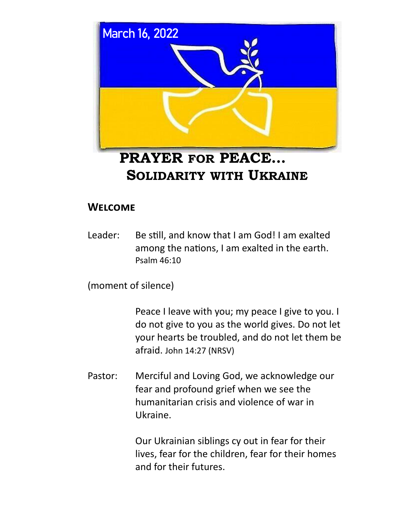

# **PRAYER FOR PEACE… SOLIDARITY WITH UKRAINE**

## **Welcome**

Leader: Be still, and know that I am God! I am exalted among the nations, I am exalted in the earth. Psalm 46:10

(moment of silence)

 Peace I leave with you; my peace I give to you. I do not give to you as the world gives. Do not let your hearts be troubled, and do not let them be afraid. John 14:27 (NRSV)

Pastor: Merciful and Loving God, we acknowledge our fear and profound grief when we see the humanitarian crisis and violence of war in Ukraine.

> Our Ukrainian siblings cy out in fear for their lives, fear for the children, fear for their homes and for their futures.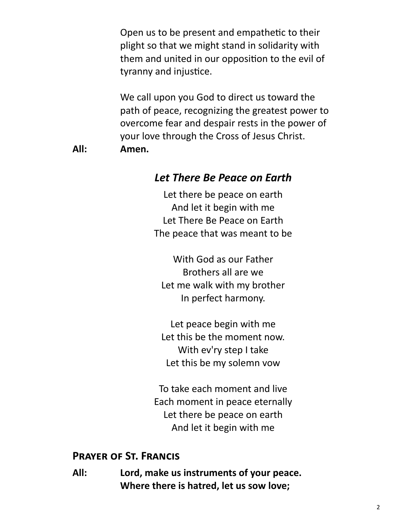Open us to be present and empathetic to their plight so that we might stand in solidarity with them and united in our opposition to the evil of tyranny and injustice.

 We call upon you God to direct us toward the path of peace, recognizing the greatest power to overcome fear and despair rests in the power of your love through the Cross of Jesus Christ.

**All: Amen.**

#### *Let There Be Peace on Earth*

Let there be peace on earth And let it begin with me Let There Be Peace on Earth The peace that was meant to be

With God as our Father Brothers all are we Let me walk with my brother In perfect harmony.

Let peace begin with me Let this be the moment now. With ev'ry step I take Let this be my solemn vow

To take each moment and live Each moment in peace eternally Let there be peace on earth And let it begin with me

#### **Prayer of St. Francis**

**All: Lord, make us instruments of your peace. Where there is hatred, let us sow love;**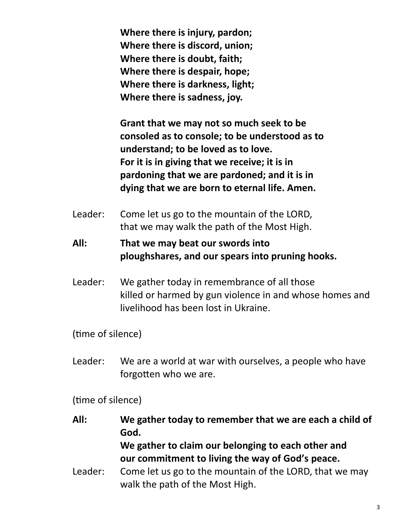**Where there is injury, pardon; Where there is discord, union; Where there is doubt, faith; Where there is despair, hope; Where there is darkness, light; Where there is sadness, joy.** 

**Grant that we may not so much seek to be consoled as to console; to be understood as to understand; to be loved as to love. For it is in giving that we receive; it is in pardoning that we are pardoned; and it is in dying that we are born to eternal life. Amen.**

- Leader: Come let us go to the mountain of the LORD, that we may walk the path of the Most High.
- **All: That we may beat our swords into ploughshares, and our spears into pruning hooks.**
- Leader: We gather today in remembrance of all those killed or harmed by gun violence in and whose homes and livelihood has been lost in Ukraine.

(time of silence)

Leader: We are a world at war with ourselves, a people who have forgotten who we are.

(time of silence)

- **All: We gather today to remember that we are each a child of God. We gather to claim our belonging to each other and our commitment to living the way of God's peace.** Leader: Come let us go to the mountain of the LORD, that we may
	- walk the path of the Most High.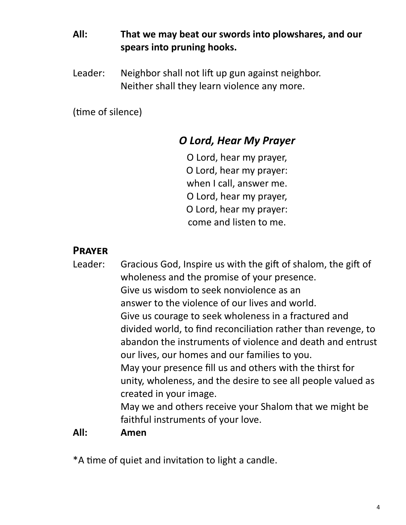## **All: That we may beat our swords into plowshares, and our spears into pruning hooks.**

Leader: Neighbor shall not lift up gun against neighbor. Neither shall they learn violence any more.

(time of silence)

## *O Lord, Hear My Prayer*

O Lord, hear my prayer, O Lord, hear my prayer: when I call, answer me. O Lord, hear my prayer, O Lord, hear my prayer: come and listen to me.

#### **Prayer**

Leader: Gracious God, Inspire us with the gift of shalom, the gift of wholeness and the promise of your presence. Give us wisdom to seek nonviolence as an answer to the violence of our lives and world. Give us courage to seek wholeness in a fractured and divided world, to find reconciliation rather than revenge, to abandon the instruments of violence and death and entrust our lives, our homes and our families to you. May your presence fill us and others with the thirst for unity, wholeness, and the desire to see all people valued as created in your image. May we and others receive your Shalom that we might be faithful instruments of your love. **All: Amen**

\*A time of quiet and invitation to light a candle.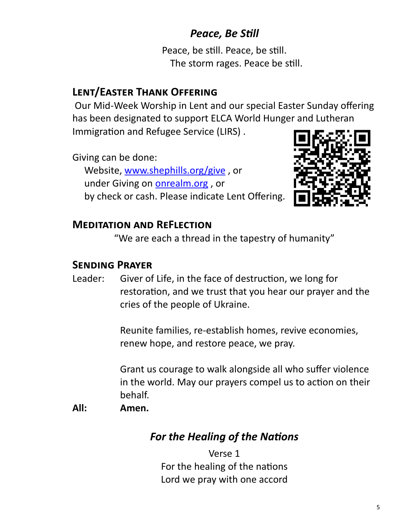# *Peace, Be Still*

Peace, be still. Peace, be still. The storm rages. Peace be still.

# **Lent/Easter Thank Offering**

Our Mid-Week Worship in Lent and our special Easter Sunday offering has been designated to support ELCA World Hunger and Lutheran Immigration and Refugee Service (LIRS) .

Giving can be done: Website, [www.shephills.org/give](http://www.shephills.org/give) , or under Giving on <onrealm.org> , or by check or cash. Please indicate Lent Offering.



#### **Meditation and ReFlection**

"We are each a thread in the tapestry of humanity"

#### **Sending Prayer**

Leader: Giver of Life, in the face of destruction, we long for restoration, and we trust that you hear our prayer and the cries of the people of Ukraine.

> Reunite families, re-establish homes, revive economies, renew hope, and restore peace, we pray.

 Grant us courage to walk alongside all who suffer violence in the world. May our prayers compel us to action on their behalf.

#### **All: Amen.**

## *For the Healing of the Nations*

Verse 1 For the healing of the nations Lord we pray with one accord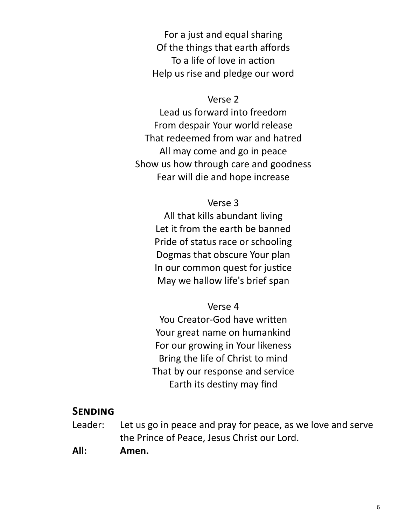For a just and equal sharing Of the things that earth affords To a life of love in action Help us rise and pledge our word

#### Verse 2

Lead us forward into freedom From despair Your world release That redeemed from war and hatred All may come and go in peace Show us how through care and goodness Fear will die and hope increase

#### Verse 3

All that kills abundant living Let it from the earth be banned Pride of status race or schooling Dogmas that obscure Your plan In our common quest for justice May we hallow life's brief span

#### Verse 4

You Creator-God have written Your great name on humankind For our growing in Your likeness Bring the life of Christ to mind That by our response and service Earth its destiny may find

#### **Sending**

- Leader: Let us go in peace and pray for peace, as we love and serve the Prince of Peace, Jesus Christ our Lord.
- **All: Amen.**